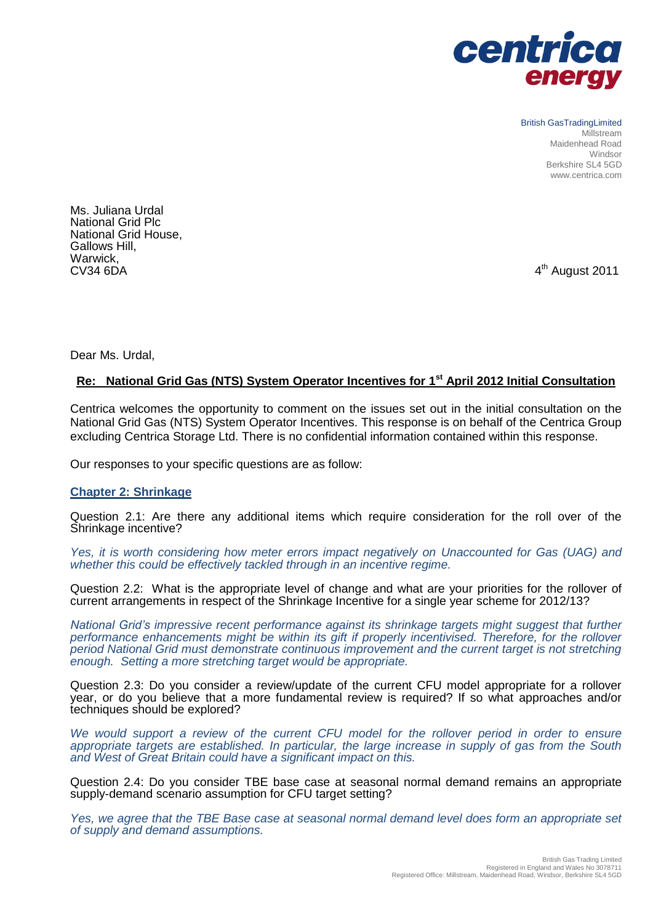

 British GasTradingLimited Millstream Maidenhead Road **Windsor** Berkshire SL4 5GD www.centrica.com

Ms. Juliana Urdal National Grid Plc National Grid House, Gallows Hill, Warwick,<br>CV34 6DA  $CV346DA$   $4$ 

4<sup>th</sup> August 2011

Dear Ms. Urdal,

# **Re: National Grid Gas (NTS) System Operator Incentives for 1st April 2012 Initial Consultation**

Centrica welcomes the opportunity to comment on the issues set out in the initial consultation on the National Grid Gas (NTS) System Operator Incentives. This response is on behalf of the Centrica Group excluding Centrica Storage Ltd. There is no confidential information contained within this response.

Our responses to your specific questions are as follow:

# **Chapter 2: Shrinkage**

Question 2.1: Are there any additional items which require consideration for the roll over of the Shrinkage incentive?

*Yes, it is worth considering how meter errors impact negatively on Unaccounted for Gas (UAG) and whether this could be effectively tackled through in an incentive regime.*

Question 2.2: What is the appropriate level of change and what are your priorities for the rollover of current arrangements in respect of the Shrinkage Incentive for a single year scheme for 2012/13?

*National Grid's impressive recent performance against its shrinkage targets might suggest that further performance enhancements might be within its gift if properly incentivised. Therefore, for the rollover period National Grid must demonstrate continuous improvement and the current target is not stretching enough. Setting a more stretching target would be appropriate.*

Question 2.3: Do you consider a review/update of the current CFU model appropriate for a rollover year, or do you believe that a more fundamental review is required? If so what approaches and/or techniques should be explored?

*We would support a review of the current CFU model for the rollover period in order to ensure appropriate targets are established. In particular, the large increase in supply of gas from the South and West of Great Britain could have a significant impact on this.*

Question 2.4: Do you consider TBE base case at seasonal normal demand remains an appropriate supply-demand scenario assumption for CFU target setting?

*Yes, we agree that the TBE Base case at seasonal normal demand level does form an appropriate set of supply and demand assumptions.*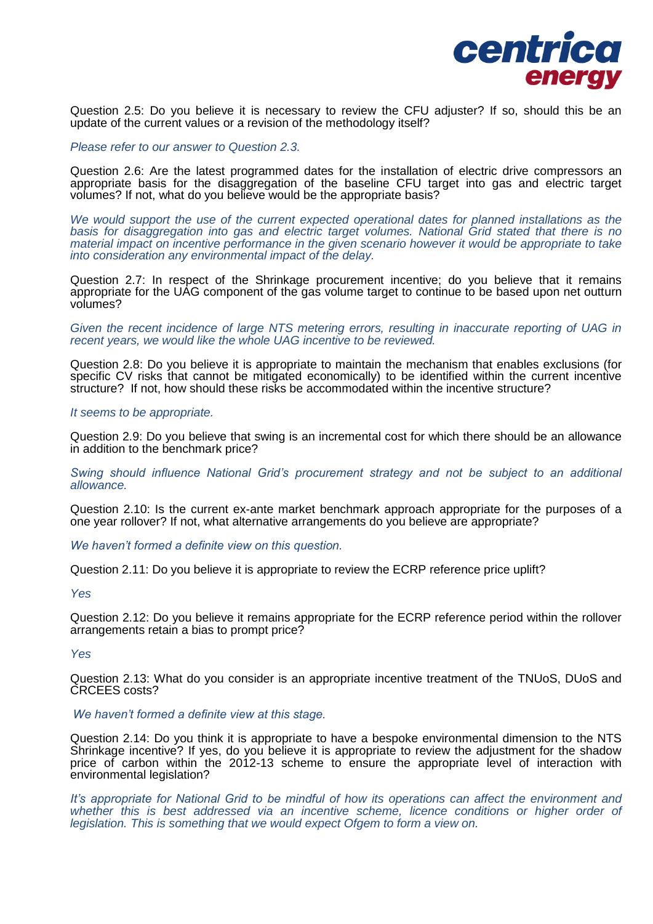

Question 2.5: Do you believe it is necessary to review the CFU adjuster? If so, should this be an update of the current values or a revision of the methodology itself?

### *Please refer to our answer to Question 2.3.*

Question 2.6: Are the latest programmed dates for the installation of electric drive compressors an appropriate basis for the disaggregation of the baseline CFU target into gas and electric target volumes? If not, what do you believe would be the appropriate basis?

*We would support the use of the current expected operational dates for planned installations as the basis for disaggregation into gas and electric target volumes. National Grid stated that there is no material impact on incentive performance in the given scenario however it would be appropriate to take into consideration any environmental impact of the delay.* 

Question 2.7: In respect of the Shrinkage procurement incentive; do you believe that it remains appropriate for the UAG component of the gas volume target to continue to be based upon net outturn volumes?

*Given the recent incidence of large NTS metering errors, resulting in inaccurate reporting of UAG in recent years, we would like the whole UAG incentive to be reviewed.*

Question 2.8: Do you believe it is appropriate to maintain the mechanism that enables exclusions (for specific CV risks that cannot be mitigated economically) to be identified within the current incentive structure? If not, how should these risks be accommodated within the incentive structure?

### *It seems to be appropriate.*

Question 2.9: Do you believe that swing is an incremental cost for which there should be an allowance in addition to the benchmark price?

*Swing should influence National Grid's procurement strategy and not be subject to an additional allowance.*

Question 2.10: Is the current ex-ante market benchmark approach appropriate for the purposes of a one year rollover? If not, what alternative arrangements do you believe are appropriate?

*We haven't formed a definite view on this question.*

Question 2.11: Do you believe it is appropriate to review the ECRP reference price uplift?

#### *Yes*

Question 2.12: Do you believe it remains appropriate for the ECRP reference period within the rollover arrangements retain a bias to prompt price?

*Yes*

Question 2.13: What do you consider is an appropriate incentive treatment of the TNUoS, DUoS and CRCEES costs?

## *We haven't formed a definite view at this stage.*

Question 2.14: Do you think it is appropriate to have a bespoke environmental dimension to the NTS Shrinkage incentive? If yes, do you believe it is appropriate to review the adjustment for the shadow price of carbon within the 2012-13 scheme to ensure the appropriate level of interaction with environmental legislation?

*It's appropriate for National Grid to be mindful of how its operations can affect the environment and whether this is best addressed via an incentive scheme, licence conditions or higher order of legislation. This is something that we would expect Ofgem to form a view on.*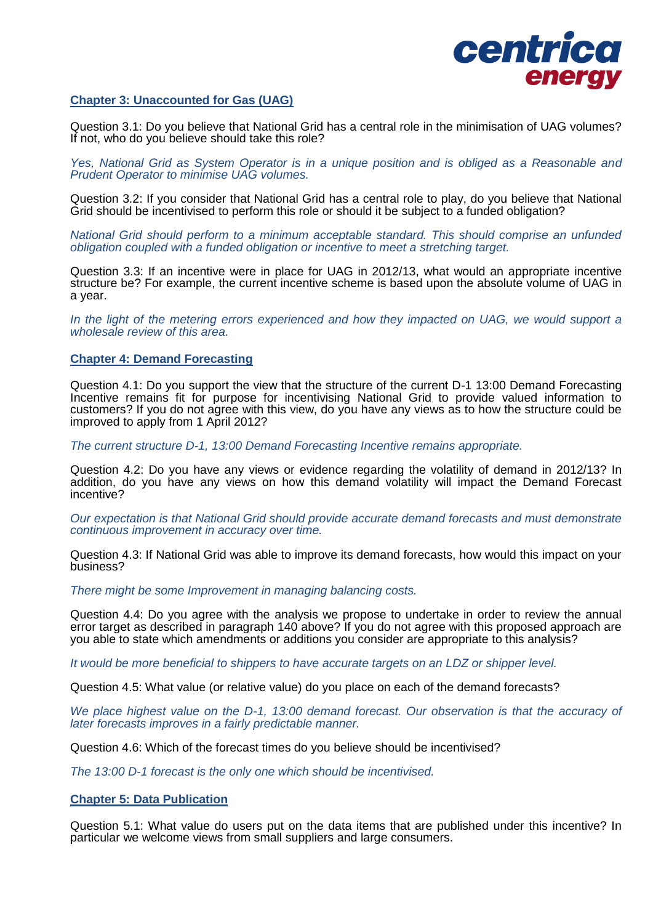

# **Chapter 3: Unaccounted for Gas (UAG)**

Question 3.1: Do you believe that National Grid has a central role in the minimisation of UAG volumes? If not, who do you believe should take this role?

*Yes, National Grid as System Operator is in a unique position and is obliged as a Reasonable and Prudent Operator to minimise UAG volumes.*

Question 3.2: If you consider that National Grid has a central role to play, do you believe that National Grid should be incentivised to perform this role or should it be subject to a funded obligation?

*National Grid should perform to a minimum acceptable standard. This should comprise an unfunded obligation coupled with a funded obligation or incentive to meet a stretching target.*

Question 3.3: If an incentive were in place for UAG in 2012/13, what would an appropriate incentive structure be? For example, the current incentive scheme is based upon the absolute volume of UAG in a year.

*In the light of the metering errors experienced and how they impacted on UAG, we would support a wholesale review of this area.*

## **Chapter 4: Demand Forecasting**

Question 4.1: Do you support the view that the structure of the current D-1 13:00 Demand Forecasting Incentive remains fit for purpose for incentivising National Grid to provide valued information to customers? If you do not agree with this view, do you have any views as to how the structure could be improved to apply from 1 April 2012?

*The current structure D-1, 13:00 Demand Forecasting Incentive remains appropriate.*

Question 4.2: Do you have any views or evidence regarding the volatility of demand in 2012/13? In addition, do you have any views on how this demand volatility will impact the Demand Forecast incentive?

*Our expectation is that National Grid should provide accurate demand forecasts and must demonstrate continuous improvement in accuracy over time.*

Question 4.3: If National Grid was able to improve its demand forecasts, how would this impact on your business?

*There might be some Improvement in managing balancing costs.* 

Question 4.4: Do you agree with the analysis we propose to undertake in order to review the annual error target as described in paragraph 140 above? If you do not agree with this proposed approach are you able to state which amendments or additions you consider are appropriate to this analysis?

*It would be more beneficial to shippers to have accurate targets on an LDZ or shipper level.* 

Question 4.5: What value (or relative value) do you place on each of the demand forecasts?

We place highest value on the D-1, 13:00 demand forecast. Our observation is that the accuracy of *later forecasts improves in a fairly predictable manner.*

Question 4.6: Which of the forecast times do you believe should be incentivised?

*The 13:00 D-1 forecast is the only one which should be incentivised.*

# **Chapter 5: Data Publication**

Question 5.1: What value do users put on the data items that are published under this incentive? In particular we welcome views from small suppliers and large consumers.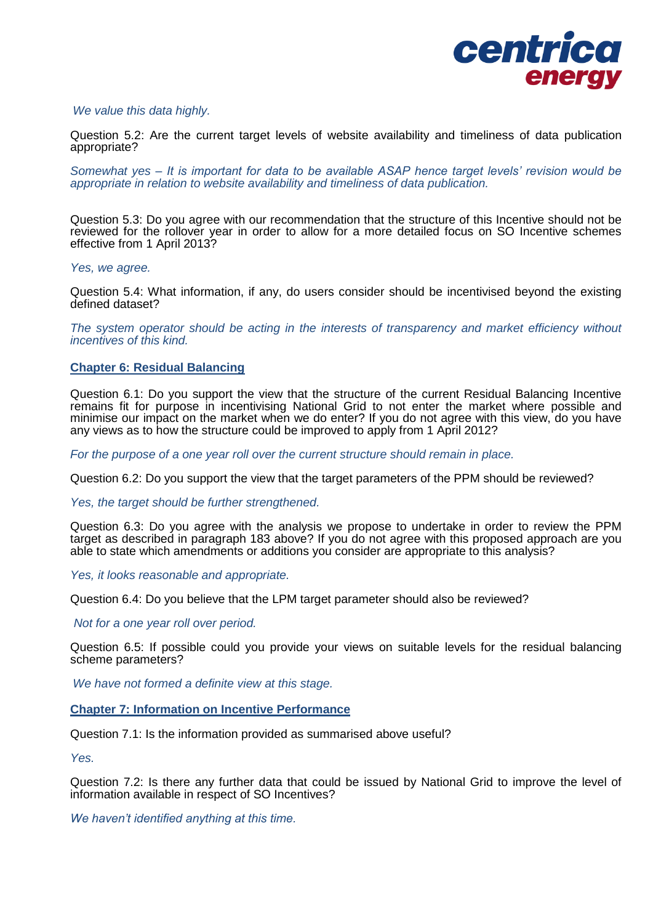

## *We value this data highly.*

Question 5.2: Are the current target levels of website availability and timeliness of data publication appropriate?

*Somewhat yes – It is important for data to be available ASAP hence target levels' revision would be appropriate in relation to website availability and timeliness of data publication.*

Question 5.3: Do you agree with our recommendation that the structure of this Incentive should not be reviewed for the rollover year in order to allow for a more detailed focus on SO Incentive schemes effective from 1 April 2013?

*Yes, we agree.*

Question 5.4: What information, if any, do users consider should be incentivised beyond the existing defined dataset?

*The system operator should be acting in the interests of transparency and market efficiency without incentives of this kind.*

# **Chapter 6: Residual Balancing**

Question 6.1: Do you support the view that the structure of the current Residual Balancing Incentive remains fit for purpose in incentivising National Grid to not enter the market where possible and minimise our impact on the market when we do enter? If you do not agree with this view, do you have any views as to how the structure could be improved to apply from 1 April 2012?

*For the purpose of a one year roll over the current structure should remain in place.*

Question 6.2: Do you support the view that the target parameters of the PPM should be reviewed?

*Yes, the target should be further strengthened.*

Question 6.3: Do you agree with the analysis we propose to undertake in order to review the PPM target as described in paragraph 183 above? If you do not agree with this proposed approach are you able to state which amendments or additions you consider are appropriate to this analysis?

*Yes, it looks reasonable and appropriate.*

Question 6.4: Do you believe that the LPM target parameter should also be reviewed?

*Not for a one year roll over period.*

Question 6.5: If possible could you provide your views on suitable levels for the residual balancing scheme parameters?

*We have not formed a definite view at this stage.*

# **Chapter 7: Information on Incentive Performance**

Question 7.1: Is the information provided as summarised above useful?

*Yes.* 

Question 7.2: Is there any further data that could be issued by National Grid to improve the level of information available in respect of SO Incentives?

*We haven't identified anything at this time.*